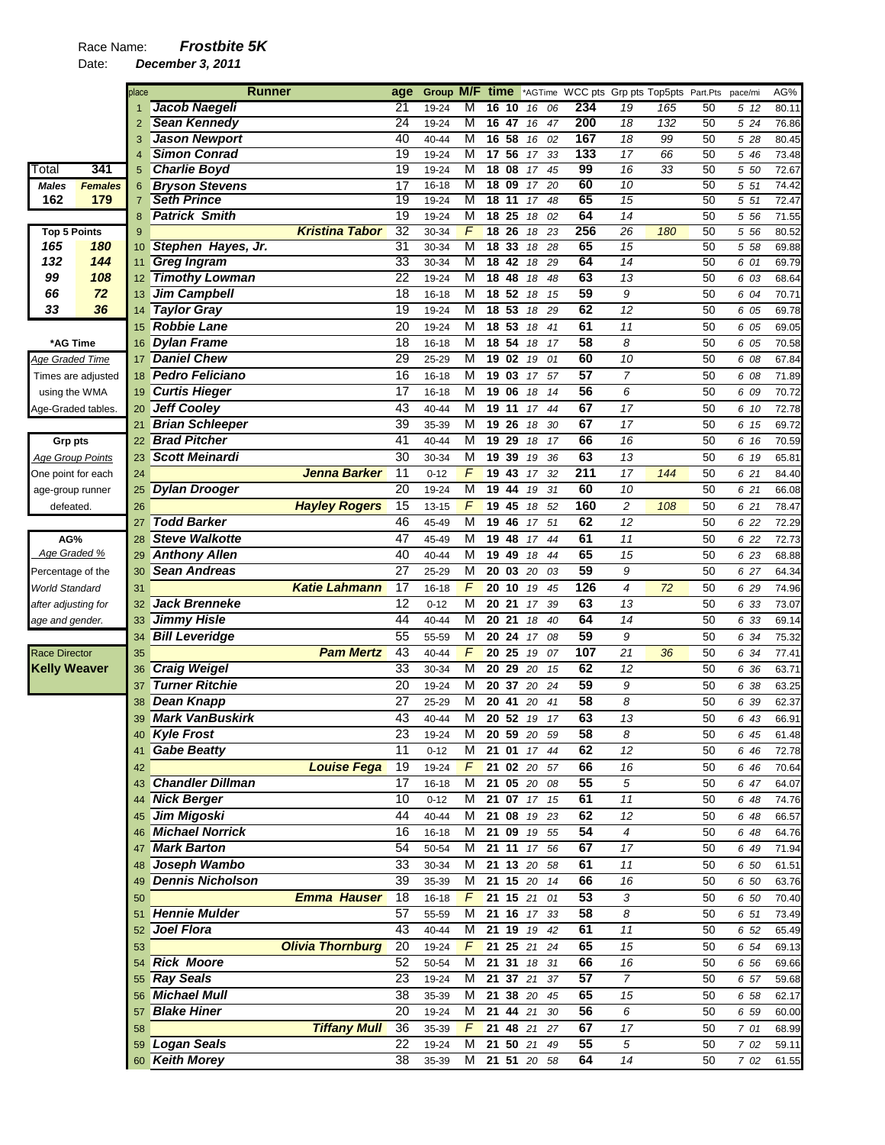## Race Name: *Frostbite 5K*

|                       |                         | place           | <b>Runner</b>           |                         | age             | Group M/F time |                 |                          |    |               |    |                 |                 | *AGTime WCC pts Grp pts Top5pts Part.Pts |    | pace/mi | AG%   |
|-----------------------|-------------------------|-----------------|-------------------------|-------------------------|-----------------|----------------|-----------------|--------------------------|----|---------------|----|-----------------|-----------------|------------------------------------------|----|---------|-------|
|                       |                         |                 | Jacob Naegeli           |                         | 21              | 19-24          | М               | 16                       | 10 | 16            | 06 | 234             | 19              | 165                                      | 50 | 5 12    | 80.11 |
|                       |                         | 2               | <b>Sean Kennedy</b>     |                         | 24              | 19-24          | M               | 16 47                    |    | 16            | 47 | 200             | 18              | 132                                      | 50 | 5 24    | 76.86 |
|                       |                         | 3               | <b>Jason Newport</b>    |                         | 40              | 40-44          | M               | 16 <sub>58</sub>         |    | 16            | 02 | 167             | $\overline{18}$ | 99                                       | 50 | 5 28    | 80.45 |
|                       |                         |                 | <b>Simon Conrad</b>     |                         | 19              | 19-24          | M               | 17,56                    |    | 17            | 33 | 133             | $\overline{17}$ | 66                                       | 50 | 5 46    | 73.48 |
| Total                 | 341                     | 5               | <b>Charlie Boyd</b>     |                         | $\overline{19}$ | 19-24          | M               | 18 08                    |    | 17            | 45 | 99              | 16              | $\overline{33}$                          | 50 | 5 50    | 72.67 |
| <b>Males</b>          | <b>Females</b>          | 6               | <b>Bryson Stevens</b>   |                         | 17              | $16 - 18$      | M               | 1809                     |    | 17            | 20 | 60              | 10              |                                          | 50 | 5 51    | 74.42 |
| 162                   | 179                     | $\overline{7}$  | <b>Seth Prince</b>      |                         | 19              | 19-24          | M               | $18$ 11                  |    | 17            | 48 | 65              | 15              |                                          | 50 | $5\,51$ | 72.47 |
|                       |                         | 8               | <b>Patrick Smith</b>    |                         | $\overline{19}$ | 19-24          | M               | 18 25                    |    | 18            | 02 | 64              | 14              |                                          | 50 | 5 5 6   | 71.55 |
| <b>Top 5 Points</b>   |                         | 9               |                         | <b>Kristina Tabor</b>   | $\overline{32}$ | 30-34          | $\overline{F}$  | 18 <sup>26</sup>         |    | 18            | 23 | 256             | $\overline{26}$ | 180                                      | 50 | 5 5 6   | 80.52 |
| 165                   | 180                     | 10              | Stephen Hayes, Jr.      |                         | 31              | 30-34          | M               | $\overline{18}$          | 33 | 18            | 28 | 65              | 15              |                                          | 50 | 5 58    | 69.88 |
| 132                   | 144                     | 11              | <b>Greg Ingram</b>      |                         | 33              | 30-34          | M               | $\overline{18}$          | 42 | 18            | 29 | 64              | $\overline{14}$ |                                          | 50 | 6 01    | 69.79 |
| 99                    | 108                     | 12 <sup>°</sup> | <b>Timothy Lowman</b>   |                         | 22              | 19-24          | M               | $18 \t 48$               |    | 18            | 48 | 63              | 13              |                                          | 50 | 6 03    | 68.64 |
| 66                    | 72                      | 13 <sup>°</sup> | <b>Jim Campbell</b>     |                         | 18              | $16 - 18$      | M               | 18 52                    |    | 18            | 15 | 59              | 9               |                                          | 50 | 6 04    | 70.71 |
| 33                    | 36                      | 14              | <b>Taylor Gray</b>      |                         | 19              | 19-24          | M               | 18 53                    |    | 18            | 29 | 62              | 12              |                                          | 50 | 6 05    | 69.78 |
|                       |                         | 15              | <b>Robbie Lane</b>      |                         | 20              | 19-24          | $\overline{M}$  | 18 53                    |    | 18            | 41 | 61              | 11              |                                          | 50 | 6 05    | 69.05 |
|                       | *AG Time                | 16              | <b>Dylan Frame</b>      |                         | 18              | $16 - 18$      | M               | 18 54                    |    | 18            | 17 | 58              | 8               |                                          | 50 | 6 05    | 70.58 |
| Age Graded Time       |                         | 17              | <b>Daniel Chew</b>      |                         | 29              | 25-29          | M               | 19 02                    |    | 19            | 01 | 60              | 10              |                                          | 50 | 6 08    | 67.84 |
|                       | Times are adjusted      | 18              | <b>Pedro Feliciano</b>  |                         | 16              | $16 - 18$      | M               | 19 03                    |    | 17            | 57 | $\overline{57}$ | $\overline{7}$  |                                          | 50 | 6 08    | 71.89 |
|                       | using the WMA           | 19              | <b>Curtis Hieger</b>    |                         | $\overline{17}$ | $16 - 18$      | M               | 19 06                    |    | 18            | 14 | 56              | 6               |                                          | 50 | 6 09    | 70.72 |
|                       | Age-Graded tables.      | 20              | <b>Jeff Cooley</b>      |                         | 43              | 40-44          | M               | 19 11                    |    | 17            | 44 | 67              | 17              |                                          | 50 | 6 10    | 72.78 |
|                       |                         | 21              | <b>Brian Schleeper</b>  |                         | $\overline{39}$ | 35-39          | M               | 19 26                    |    | 18            | 30 | 67              | 17              |                                          | 50 | 6 15    | 69.72 |
| Grp pts               |                         | 22              | <b>Brad Pitcher</b>     |                         | 41              | 40-44          | M               | 19 29                    |    | 18            | 17 | 66              | 16              |                                          | 50 | 6 16    | 70.59 |
|                       | <b>Age Group Points</b> | 23              | <b>Scott Meinardi</b>   |                         | 30              | 30-34          | M               | 19 39                    |    | 19            | 36 | 63              | 13              |                                          | 50 | 6 19    | 65.81 |
|                       | One point for each      | 24              |                         | <b>Jenna Barker</b>     | 11              | $0 - 12$       | F               | $\overline{19}$ 43       |    | 17            | 32 | 211             | 17              | 144                                      | 50 | 6 21    | 84.40 |
|                       | age-group runner        | 25              | <b>Dylan Drooger</b>    |                         | 20              | 19-24          | M               | 19                       | 44 | 19            | 31 | 60              | 10              |                                          | 50 | 6 21    | 66.08 |
| defeated.             |                         | 26              |                         | <b>Hayley Rogers</b>    | 15              | $13 - 15$      | $\overline{F}$  | 19 45                    |    | 18            | 52 | 160             | $\sqrt{2}$      | 108                                      | 50 | 6 21    | 78.47 |
|                       |                         | 27              | <b>Todd Barker</b>      |                         | 46              | 45-49          | M               | 19 46                    |    | 17            | 51 | 62              | 12              |                                          | 50 | 6 22    | 72.29 |
| AG%                   |                         | 28              | <b>Steve Walkotte</b>   |                         | 47              | 45-49          | M               | 19 48                    |    | 17            | 44 | 61              | 11              |                                          | 50 | 6 22    | 72.73 |
| Age Graded %          |                         | 29              | <b>Anthony Allen</b>    |                         | 40              | 40-44          | M               | 19 49                    |    | 18            | 44 | 65              | 15              |                                          | 50 | 6 23    | 68.88 |
| Percentage of the     |                         | 30              | Sean Andreas            |                         | 27              | 25-29          | M               | 20 03                    |    | 20            | 03 | 59              | 9               |                                          | 50 | 6 27    | 64.34 |
| <b>World Standard</b> |                         | 31              |                         | <b>Katie Lahmann</b>    | 17              | 16-18          | F               | 20                       | 10 | 19            | 45 | 126             | 4               | 72                                       | 50 | 6 29    | 74.96 |
| after adjusting for   |                         | 32              | <b>Jack Brenneke</b>    |                         | $\overline{12}$ | $0 - 12$       | M               | 20 21                    |    | 17            | 39 | 63              | 13              |                                          | 50 | 6 33    | 73.07 |
| age and gender.       |                         | 33              | <b>Jimmy Hisle</b>      |                         | 44              | 40-44          | M               | 20                       | 21 | 18            | 40 | 64              | 14              |                                          | 50 | 6 33    | 69.14 |
|                       |                         | 34              | <b>Bill Leveridge</b>   |                         | 55              | 55-59          | M               | 20 24                    |    | 17 08         |    | 59              | 9               |                                          | 50 | 6 34    | 75.32 |
| <b>Race Director</b>  |                         | 35              |                         | <b>Pam Mertz</b>        | 43              | 40-44          | $\sqrt{2}$      | 20 25                    |    | 19            | 07 | 107             | 21              | 36                                       | 50 | 6 34    | 77.41 |
| <b>Kelly Weaver</b>   |                         | 36              | <b>Craig Weigel</b>     |                         | 33              | 30-34          | $\overline{M}$  | 20 29 20                 |    |               | 15 | 62              | 12              |                                          | 50 | 6 36    | 63.71 |
|                       |                         | 37              | <b>Turner Ritchie</b>   |                         | 20              | 19-24          | M               | 20 37                    |    | 20            | 24 | 59              | 9               |                                          | 50 | 6 38    | 63.25 |
|                       |                         | 38              | <b>Dean Knapp</b>       |                         | 27              | 25-29          | M               | 20 41                    |    | 20            | 41 | 58              | 8               |                                          | 50 | 6 39    | 62.37 |
|                       |                         | 39              | <b>Mark VanBuskirk</b>  |                         | 43              | 40-44          | M               | 20 52 19                 |    |               | 17 | 63              | 13              |                                          | 50 | 6 43    | 66.91 |
|                       |                         |                 | <b>Kyle Frost</b>       |                         | 23              | 19-24          | M               |                          |    | 20 59 20 59   |    | 58              | 8               |                                          | 50 | 645     | 61.48 |
|                       |                         | 41              | <b>Gabe Beatty</b>      |                         | 11              | $0 - 12$       | М               | 21 01                    |    | 17 44         |    | 62              | 12              |                                          | 50 | 6 46    | 72.78 |
|                       |                         | 42              |                         | <b>Louise Fega</b>      | 19              | 19-24          | $\sqrt{F}$      |                          |    | 21 02 20 57   |    | 66              | 16              |                                          | 50 | 6 46    | 70.64 |
|                       |                         | 43              | <b>Chandler Dillman</b> |                         | 17              | 16-18          | М               | 21 05 20                 |    |               | 08 | 55              | 5               |                                          | 50 | 6 47    | 64.07 |
|                       |                         |                 | <b>Nick Berger</b>      |                         | 10              | $0 - 12$       | М               |                          |    | 21 07 17 15   |    | 61              | 11              |                                          | 50 | 6 48    | 74.76 |
|                       |                         | 45              | <b>Jim Migoski</b>      |                         | 44              | 40-44          | М               |                          |    | 21 08 19 23   |    | 62              | 12              |                                          | 50 | 6 48    | 66.57 |
|                       |                         | 46              | <b>Michael Norrick</b>  |                         | 16              | $16 - 18$      | м               | 21 09 19                 |    |               | 55 | 54              | 4               |                                          | 50 | 6 48    | 64.76 |
|                       |                         | 47              | <b>Mark Barton</b>      |                         | 54              | 50-54          | М               |                          |    | 21 11 17 56   |    | 67              | $17$            |                                          | 50 | 6 49    | 71.94 |
|                       |                         |                 | Joseph Wambo            |                         | 33              |                | Μ               | 21 13 20                 |    |               | 58 | 61              | $11$            |                                          | 50 |         |       |
|                       |                         | 48              | <b>Dennis Nicholson</b> |                         | 39              | 30-34          |                 |                          |    |               |    | 66              |                 |                                          |    | 6 50    | 61.51 |
|                       |                         | 49              |                         | <b>Emma Hauser</b>      | 18              | 35-39          | м<br>$\sqrt{F}$ | 21 15 20<br>$21$ 15 $21$ |    |               | 14 | 53              | 16              |                                          | 50 | 6 50    | 63.76 |
|                       |                         | 50              | <b>Hennie Mulder</b>    |                         | 57              | $16 - 18$      | M               |                          |    | 21 16 17 33   | 01 | 58              | 3               |                                          | 50 | 6 50    | 70.40 |
|                       |                         | 51              |                         |                         |                 | 55-59          |                 |                          |    |               |    |                 | 8               |                                          | 50 | 6 51    | 73.49 |
|                       |                         | 52              | Joel Flora              |                         | 43              | 40-44          | M               |                          |    | 21 19 19 42   |    | 61              | $11$            |                                          | 50 | 6 52    | 65.49 |
|                       |                         | 53              |                         | <b>Olivia Thornburg</b> | 20              | 19-24          | $\sqrt{F}$      |                          |    | 21 25 21 24   |    | 65              | 15              |                                          | 50 | 6 54    | 69.13 |
|                       |                         | 54              | <b>Rick Moore</b>       |                         | 52              | 50-54          | м               |                          |    | 21 31 18 31   |    | 66              | 16              |                                          | 50 | 6 56    | 69.66 |
|                       |                         | 55              | <b>Ray Seals</b>        |                         | 23              | 19-24          | м               |                          |    | 21 37 21 37   |    | $\overline{57}$ | $\overline{7}$  |                                          | 50 | 6 57    | 59.68 |
|                       |                         | 56              | <b>Michael Mull</b>     |                         | 38              | 35-39          | м               |                          |    | 21 38 20 45   |    | 65              | 15              |                                          | 50 | 6 58    | 62.17 |
|                       |                         | 57              | <b>Blake Hiner</b>      |                         | 20              | 19-24          | м               |                          |    | 21 44 21 30   |    | 56              | 6               |                                          | 50 | 6 59    | 60.00 |
|                       |                         | 58              |                         | <b>Tiffany Mull</b>     | 36              | 35-39          | F               | 21 48 21                 |    |               | 27 | 67              | 17              |                                          | 50 | 7 01    | 68.99 |
|                       |                         | 59              | <b>Logan Seals</b>      |                         | 22              | 19-24          | м               | 21 50 21                 |    |               | 49 | 55              | 5               |                                          | 50 | 7 02    | 59.11 |
|                       |                         |                 | 60 Keith Morey          |                         | 38              | 35-39          |                 |                          |    | M 21 51 20 58 |    | 64              | 14              |                                          | 50 | 7 02    | 61.55 |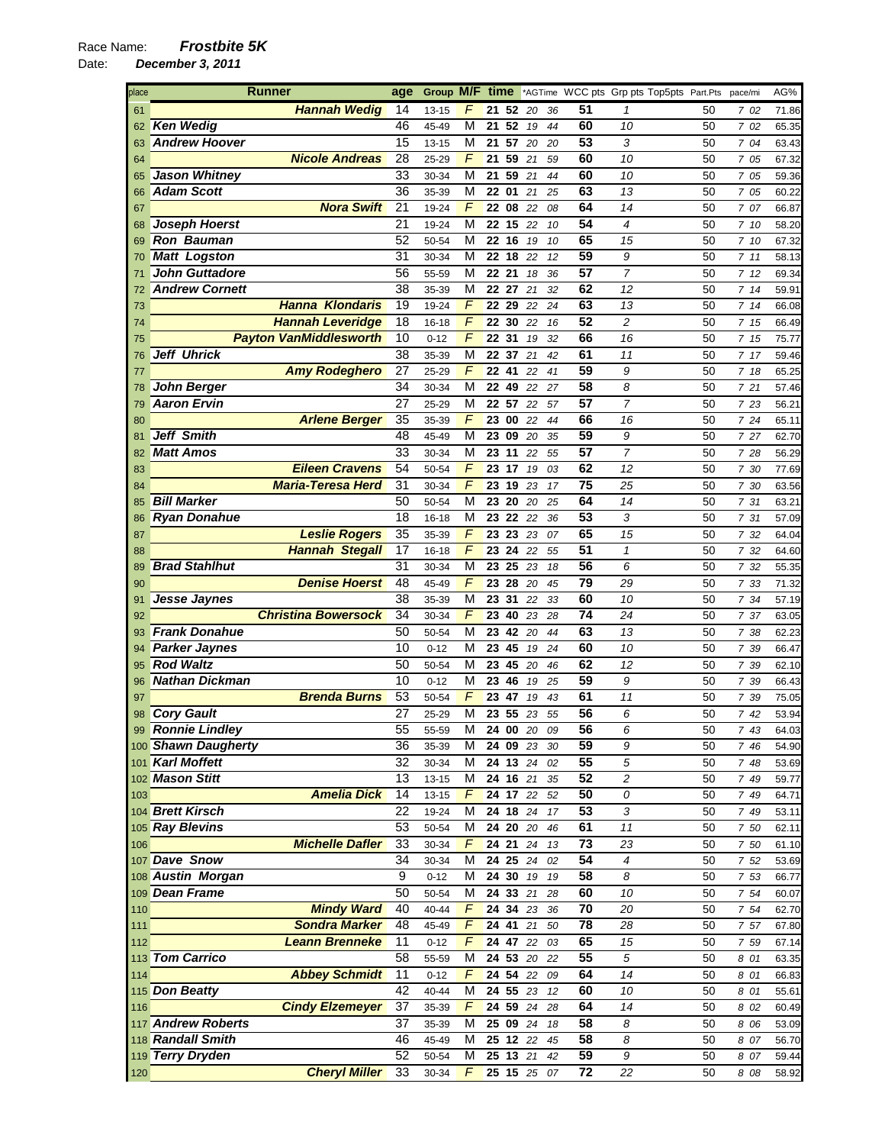| place | <b>Runner</b>                 | age             | Group M/F time |                |       |                    |    |    |                 | *AGTime WCC pts Grp pts Top5pts Part.Pts |    | pace/mi | AG%   |
|-------|-------------------------------|-----------------|----------------|----------------|-------|--------------------|----|----|-----------------|------------------------------------------|----|---------|-------|
| 61    | <b>Hannah Wedig</b>           | 14              | $13 - 15$      | F              |       | 21 52              | 20 | 36 | 51              | 1                                        | 50 | 7 02    | 71.86 |
| 62    | <b>Ken Wedig</b>              | 46              | 45-49          | M              | 21    | 52                 | 19 | 44 | 60              | 10                                       | 50 | 7 02    | 65.35 |
| 63    | <b>Andrew Hoover</b>          | 15              | 13-15          | М              | 21    | 57                 | 20 | 20 | 53              | 3                                        | 50 | 7 04    | 63.43 |
| 64    | <b>Nicole Andreas</b>         | 28              | 25-29          | F              | 21    | 59                 | 21 | 59 | 60              | 10                                       | 50 | 7 05    | 67.32 |
| 65    | <b>Jason Whitney</b>          | 33              | 30-34          | М              |       | 21 59              | 21 | 44 | 60              | 10                                       | 50 | 7 05    | 59.36 |
| 66    | <b>Adam Scott</b>             | 36              | 35-39          | M              | 22 01 |                    | 21 | 25 | 63              | 13                                       | 50 | 7 05    | 60.22 |
| 67    | <b>Nora Swift</b>             | 21              | 19-24          | F              |       | 22 08              | 22 | 08 | 64              | 14                                       | 50 | 7 07    | 66.87 |
| 68    | <b>Joseph Hoerst</b>          | 21              | 19-24          | М              |       | 22 15              | 22 | 10 | 54              | $\overline{4}$                           | 50 | 7 10    | 58.20 |
| 69    | <b>Ron Bauman</b>             | 52              | 50-54          | М              |       | 22 16              | 19 | 10 | 65              | 15                                       | 50 | 7 10    | 67.32 |
| 70    | <b>Matt Logston</b>           | $\overline{31}$ | 30-34          | M              | 22    | 18                 | 22 | 12 | 59              | 9                                        | 50 | 711     | 58.13 |
| 71    | <b>John Guttadore</b>         | 56              | 55-59          | М              |       | 22 21              | 18 | 36 | 57              | $\overline{7}$                           | 50 | 712     | 69.34 |
| 72    | <b>Andrew Cornett</b>         | $\overline{38}$ | 35-39          | M              | 22    | 27                 | 21 | 32 | 62              | 12                                       | 50 | 714     | 59.91 |
| 73    | <b>Hanna Klondaris</b>        | 19              | 19-24          | F              |       | 22 29              | 22 | 24 | 63              | 13                                       | 50 | 7 14    | 66.08 |
| 74    | <b>Hannah Leveridge</b>       | 18              | 16-18          | F              |       | 22 30              | 22 | 16 | 52              | $\overline{c}$                           | 50 | 7 15    | 66.49 |
| 75    | <b>Payton VanMiddlesworth</b> | 10              | $0 - 12$       | F              | 22 31 |                    | 19 | 32 | 66              | 16                                       | 50 | 7 15    | 75.77 |
| 76    | <b>Jeff Uhrick</b>            | 38              | 35-39          | М              |       | 22 37              | 21 | 42 | 61              | 11                                       | 50 | 7 17    | 59.46 |
| 77    | <b>Amy Rodeghero</b>          | 27              | 25-29          | F              |       | 22 41              | 22 | 41 | 59              | 9                                        | 50 | 7 18    | 65.25 |
|       | <b>John Berger</b>            | 34              |                | М              |       | 22 49              |    |    | 58              | 8                                        |    |         |       |
| 78    | <b>Aaron Ervin</b>            | 27              | 30-34          |                |       | 22 57              | 22 | 27 | $\overline{57}$ | $\overline{7}$                           | 50 | 7 21    | 57.46 |
| 79    |                               |                 | 25-29          | М              |       |                    | 22 | 57 |                 |                                          | 50 | 7 23    | 56.21 |
| 80    | <b>Arlene Berger</b>          | 35              | 35-39          | F              | 23    | 00                 | 22 | 44 | 66              | 16                                       | 50 | 7 24    | 65.11 |
| 81    | <b>Jeff Smith</b>             | 48              | 45-49          | M              | 23    | 09                 | 20 | 35 | 59              | 9                                        | 50 | 7 27    | 62.70 |
| 82    | <b>Matt Amos</b>              | 33              | 30-34          | М              |       | 23 11              | 22 | 55 | 57              | $\overline{7}$                           | 50 | 7 28    | 56.29 |
| 83    | <b>Eileen Cravens</b>         | 54              | 50-54          | $\overline{F}$ | 23 17 |                    | 19 | 03 | 62              | 12                                       | 50 | 7 30    | 77.69 |
| 84    | <b>Maria-Teresa Herd</b>      | 31              | 30-34          | F              |       | 23 19              | 23 | 17 | 75              | 25                                       | 50 | 7 30    | 63.56 |
| 85    | <b>Bill Marker</b>            | 50              | 50-54          | М              | 23    | 20                 | 20 | 25 | 64              | 14                                       | 50 | 7 31    | 63.21 |
| 86    | <b>Ryan Donahue</b>           | 18              | 16-18          | М              |       | 23 22 22           |    | 36 | 53              | 3                                        | 50 | 7 31    | 57.09 |
| 87    | <b>Leslie Rogers</b>          | 35              | 35-39          | F              | 23    | 23                 | 23 | 07 | 65              | 15                                       | 50 | 7 32    | 64.04 |
| 88    | <b>Hannah Stegall</b>         | 17              | 16-18          | F              |       | 23 24              | 22 | 55 | 51              | $\mathcal I$                             | 50 | 7 32    | 64.60 |
| 89    | <b>Brad Stahlhut</b>          | 31              | 30-34          | M              | 23    | 25                 | 23 | 18 | 56              | 6                                        | 50 | 7 32    | 55.35 |
| 90    | <b>Denise Hoerst</b>          | 48              | 45-49          | F              |       | 23 28 20           |    | 45 | 79              | 29                                       | 50 | 7 33    | 71.32 |
| 91    | Jesse Jaynes                  | 38              | 35-39          | M              | 23    | 31                 | 22 | 33 | 60              | 10                                       | 50 | 7 34    | 57.19 |
| 92    | <b>Christina Bowersock</b>    | 34              | 30-34          | F              | 23    | 40                 | 23 | 28 | 74              | 24                                       | 50 | 7 37    | 63.05 |
| 93    | <b>Frank Donahue</b>          | 50              | 50-54          | М              |       | 23 42              | 20 | 44 | 63              | 13                                       | 50 | 7 38    | 62.23 |
| 94    | <b>Parker Jaynes</b>          | 10              | $0 - 12$       | М              |       | 23 45              | 19 | 24 | 60              | 10                                       | 50 | 7 39    | 66.47 |
| 95    | <b>Rod Waltz</b>              | 50              | 50-54          | М              |       | 23 45              | 20 | 46 | 62              | 12                                       | 50 | 7 39    | 62.10 |
| 96    | <b>Nathan Dickman</b>         | 10              | $0 - 12$       | М              | 23    | 46                 | 19 | 25 | 59              | 9                                        | 50 | 7 39    | 66.43 |
| 97    | <b>Brenda Burns</b>           | 53              | 50-54          | F              | 23    | 47                 | 19 | 43 | 61              | 11                                       | 50 | 7 39    | 75.05 |
| 98    | <b>Cory Gault</b>             | 27              | 25-29          | М              |       | 23 55              | 23 | 55 | 56              | 6                                        | 50 | 742     | 53.94 |
|       | 99 Ronnie Lindley             | 55              | 55-59          | М              |       | 240020             |    | 09 | 56              | 6                                        | 50 | 7 43    | 64.03 |
|       | 100 Shawn Daugherty           | 36              | 35-39          | M              |       | 24 09 23           |    | 30 | 59              | 9                                        | 50 | 7 46    | 54.90 |
|       | 101 Karl Moffett              | 32              | 30-34          | М              |       | 24 13 24           |    | 02 | 55              | 5                                        | 50 | 7 48    | 53.69 |
|       | 102 Mason Stitt               | 13              | 13-15          | М              |       | 24 16 21           |    | 35 | 52              | 2                                        | 50 | 7 49    | 59.77 |
| 103   | <b>Amelia Dick</b>            | 14              | 13-15          | F              |       | 24 17 22           |    | 52 | 50              | 0                                        | 50 | 7 49    | 64.71 |
|       | 104 Brett Kirsch              | 22              | 19-24          | М              |       | 24 18 24           |    | 17 | 53              | 3                                        | 50 | 7 49    |       |
|       | 105 Ray Blevins               | 53              |                | M              |       | 24 20 20           |    |    | 61              | 11                                       | 50 |         | 53.11 |
|       |                               |                 | 50-54          |                |       |                    |    | 46 |                 |                                          |    | 7 50    | 62.11 |
| 106   | <b>Michelle Dafler</b>        | 33              | 30-34          | F              |       | $\overline{24}$ 21 | 24 | 13 | $\overline{73}$ | 23                                       | 50 | 7 50    | 61.10 |
|       | 107 Dave Snow                 | 34              | 30-34          | M              |       | 24 25 24           |    | 02 | 54              | 4                                        | 50 | 7 52    | 53.69 |
|       | 108 Austin Morgan             | 9               | $0 - 12$       | M              |       | 24 30              | 19 | 19 | 58              | 8                                        | 50 | 7 53    | 66.77 |
|       | 109 Dean Frame                | 50              | 50-54          | М              |       | 24 33 21           |    | 28 | 60              | 10                                       | 50 | 7 54    | 60.07 |
| 110   | <b>Mindy Ward</b>             | 40              | $40 - 44$      | F              |       | 24 34 23           |    | 36 | 70              | 20                                       | 50 | 7 54    | 62.70 |
| 111   | <b>Sondra Marker</b>          | 48              | 45-49          | F              |       | 24 41 21           |    | 50 | $\overline{78}$ | 28                                       | 50 | 7 57    | 67.80 |
| 112   | <b>Leann Brenneke</b>         | $\overline{11}$ | $0 - 12$       | F              |       | 24 47 22           |    | 03 | 65              | 15                                       | 50 | 7 59    | 67.14 |
|       | 113 Tom Carrico               | 58              | 55-59          | М              |       | 24 53 20           |    | 22 | 55              | 5                                        | 50 | 8 01    | 63.35 |
| 114   | <b>Abbey Schmidt</b>          | 11              | $0 - 12$       | F              |       | 24 54 22           |    | 09 | 64              | 14                                       | 50 | 8 01    | 66.83 |
|       | 115 Don Beatty                | 42              | 40-44          | М              |       | 24 55 23           |    | 12 | 60              | 10                                       | 50 | 8 01    | 55.61 |
| 116   | <b>Cindy Elzemeyer</b>        | 37              | 35-39          | F              |       | 24 59 24           |    | 28 | 64              | 14                                       | 50 | 8 02    | 60.49 |
|       | 117 Andrew Roberts            | 37              | 35-39          | М              |       | 25 09 24           |    | 18 | 58              | 8                                        | 50 | 8 06    | 53.09 |
|       | 118 Randall Smith             | 46              | 45-49          | М              |       | 25 12 22           |    | 45 | 58              | 8                                        | 50 | 8 07    | 56.70 |
|       | 119 Terry Dryden              | 52              | 50-54          | М              |       | 25 13 21           |    | 42 | 59              | $\boldsymbol{9}$                         | 50 | 8 07    | 59.44 |
| 120   | <b>Cheryl Miller</b>          | 33              | 30-34          | F              |       | 25 15 25 07        |    |    | 72              | 22                                       | 50 | 8 08    | 58.92 |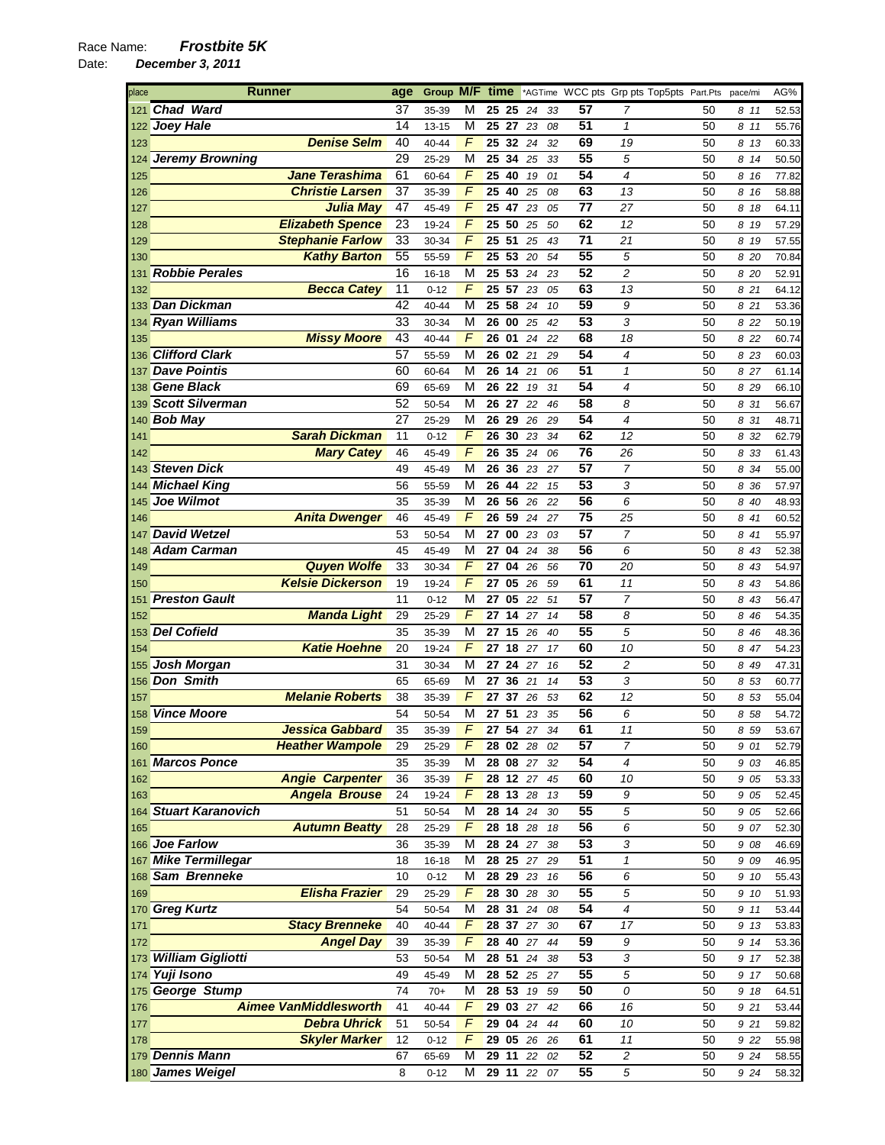| place | <b>Runner</b>                | age             | Group M/F time             |                       |          |          |                 | *AGTime WCC pts Grp pts Top5pts Part.Pts pace/mi |          |              | AG%            |
|-------|------------------------------|-----------------|----------------------------|-----------------------|----------|----------|-----------------|--------------------------------------------------|----------|--------------|----------------|
|       | 121 Chad Ward                | 37              | М<br>35-39                 | 25 25                 | 24       | 33       | 57              | 7                                                | 50       | 811          | 52.53          |
|       | 122 Joey Hale                | 14              | М<br>13-15                 | 25 27                 | 23       | 08       | 51              | $\mathbf{1}$                                     | 50       | 8 11         | 55.76          |
| 123   | <b>Denise Selm</b>           | 40              | F<br>40-44                 | 32<br>25              | 24       | 32       | 69              | 19                                               | 50       | 8 13         | 60.33          |
|       | 124 Jeremy Browning          | 29              | M<br>25-29                 | 34<br>25              | 25       | 33       | 55              | 5                                                | 50       | 8 14         | 50.50          |
| 125   | <b>Jane Terashima</b>        | 61              | F<br>60-64                 | 25 40                 | 19       | 01       | 54              | $\overline{\mathcal{A}}$                         | 50       | 8 16         | 77.82          |
| 126   | <b>Christie Larsen</b>       | 37              | F<br>35-39                 | 25 40                 | 25       | 08       | 63              | 13                                               | 50       | 8 16         | 58.88          |
| 127   | <b>Julia May</b>             | 47              | F<br>45-49                 | 47<br>25              | 23       | 05       | 77              | 27                                               | 50       | 8 18         | 64.11          |
| 128   | <b>Elizabeth Spence</b>      | 23              | F<br>19-24                 | 25 50                 | 25       | 50       | 62              | 12                                               | 50       | 8 19         | 57.29          |
| 129   | <b>Stephanie Farlow</b>      | 33              | F<br>30-34                 | 25 51                 | 25       | 43       | 71              | 21                                               | 50       | 8 19         | 57.55          |
| 130   | <b>Kathy Barton</b>          | 55              | F<br>55-59                 | $\overline{25}$<br>53 | 20       | 54       | $\overline{55}$ | 5                                                | 50       | 8 20         | 70.84          |
| 131   | <b>Robbie Perales</b>        | 16              | М<br>16-18                 | 25 53 24              |          | 23       | 52              | $\overline{c}$                                   | 50       | 8 20         | 52.91          |
| 132   | <b>Becca Catey</b>           | 11              | $\overline{F}$<br>$0 - 12$ | 25<br>57              | 23       | 05       | 63              | 13                                               | 50       | 8 21         | 64.12          |
|       | 133 Dan Dickman              | 42              | М<br>40-44                 | 25 58 24              |          | 10       | 59              | 9                                                | 50       | 8 21         | 53.36          |
|       | 134 Ryan Williams            | 33              | M<br>30-34                 | 26<br>00              | 25       | 42       | 53              | 3                                                | 50       | 8 2 2        | 50.19          |
| 135   | <b>Missy Moore</b>           | 43              | F<br>40-44                 | 26 01                 | 24       | 22       | 68              | 18                                               | 50       | 8 22         | 60.74          |
|       | 136 Clifford Clark           | 57              | М<br>55-59                 | 26 02                 | 21       | 29       | 54              | 4                                                | 50       | 8 2 3        | 60.03          |
| 137   | <b>Dave Pointis</b>          | 60              | М<br>60-64                 | 26 14 21              |          | 06       | 51              | 1                                                | 50       | 8 27         | 61.14          |
|       | <b>Gene Black</b>            | 69              | М                          | 26<br>22              |          |          | $\overline{54}$ | 4                                                |          |              |                |
| 138   | 139 Scott Silverman          | 52              | 65-69<br>М<br>50-54        | 26 27                 | 19<br>22 | 31       | 58              | 8                                                | 50<br>50 | 8 29         | 66.10          |
|       | 140 Bob May                  | 27              | M<br>25-29                 | 29<br>26              | 26       | 46<br>29 | 54              | $\overline{4}$                                   | 50       | 8 31<br>8 31 | 56.67<br>48.71 |
|       | <b>Sarah Dickman</b>         |                 | F                          |                       |          |          | 62              |                                                  |          |              |                |
| 141   |                              | 11              | $0 - 12$<br>F              | 26 30<br>26<br>35     | 23       | 34       | $\overline{76}$ | 12                                               | 50       | 8 32         | 62.79          |
| 142   | <b>Mary Catey</b>            | 46              | 45-49                      |                       | 24       | 06       |                 | 26                                               | 50       | 8 33         | 61.43          |
|       | 143 Steven Dick              | 49              | М<br>45-49                 | 26 36 23              |          | 27       | 57              | $\overline{7}$                                   | 50       | 8 34         | 55.00          |
|       | 144 Michael King             | 56              | М<br>55-59                 | 44<br>26              | 22       | 15       | 53              | 3                                                | 50       | 8 36         | 57.97          |
| 145   | Joe Wilmot                   | 35              | 35-39<br>М                 | 26 56                 | 26       | 22       | 56              | 6                                                | 50       | 8 40         | 48.93          |
| 146   | <b>Anita Dwenger</b>         | 46              | F<br>45-49                 | 26<br>59              | 24       | 27       | 75              | 25                                               | 50       | 8 41         | 60.52          |
| 147   | <b>David Wetzel</b>          | 53              | М<br>50-54                 | 27                    | 00 23    | 03       | $\overline{57}$ | $\overline{7}$                                   | 50       | 8 41         | 55.97          |
| 148   | <b>Adam Carman</b>           | 45              | М<br>45-49                 | 27<br>04              | 24       | 38       | 56              | 6                                                | 50       | 8 43         | 52.38          |
| 149   | <b>Quyen Wolfe</b>           | 33              | F<br>30-34                 | 27 04                 | 26       | 56       | 70              | 20                                               | 50       | 8 43         | 54.97          |
| 150   | <b>Kelsie Dickerson</b>      | 19              | F<br>19-24                 | 27<br>05              | 26       | 59       | 61              | 11                                               | 50       | 8 43         | 54.86          |
| 151   | <b>Preston Gault</b>         | 11              | М<br>$0 - 12$              | 05<br>27              | 22       | 51       | 57              | $\overline{7}$                                   | 50       | 8 43         | 56.47          |
| 152   | <b>Manda Light</b>           | 29              | F<br>25-29                 | 27<br>14              | 27       | 14       | 58              | 8                                                | 50       | 8 4 6        | 54.35          |
|       | 153 Del Cofield              | 35              | М<br>35-39                 | 27 15                 | 26       | 40       | 55              | 5                                                | 50       | 8 4 6        | 48.36          |
| 154   | <b>Katie Hoehne</b>          | 20              | F<br>19-24                 | 27 18 27              |          | 17       | 60              | 10                                               | 50       | 8 47         | 54.23          |
|       | 155 Josh Morgan              | 31              | м<br>30-34                 | 27 24 27              |          | 16       | 52              | 2                                                | 50       | 8 49         | 47.31          |
|       | 156 Don Smith                | 65              | М<br>65-69                 | 27                    | 36 21    | 14       | 53              | 3                                                | 50       | 8 53         | 60.77          |
| 157   | <b>Melanie Roberts</b>       | 38              | F<br>35-39                 | 27<br>37              | 26       | 53       | 62              | 12                                               | 50       | 8 53         | 55.04          |
|       | 158 Vince Moore              | 54              | М<br>50-54                 | 27 51                 | 23       | 35       | 56              | 6                                                | 50       | 8 58         | 54.72          |
| 159   | Jessica Gabbard              | $\overline{35}$ | F<br>35-39                 | 27 54                 | $27\,$   | 34       | 61              | $11$                                             | 50       | 8 5 9        | 53.67          |
| 160   | <b>Heather Wampole</b>       | 29              | F<br>25-29                 | <b>28 02 28</b>       |          | 02       | 57              | $\overline{7}$                                   | 50       | 9 01         | 52.79          |
|       | 161 Marcos Ponce             | 35              | М<br>35-39                 | 28 08 27              |          | 32       | 54              | 4                                                | 50       | 9 03         | 46.85          |
| 162   | <b>Angie Carpenter</b>       | 36              | F<br>35-39                 | 28 12 27              |          | 45       | 60              | 10                                               | 50       | 9 05         | 53.33          |
| 163   | <b>Angela Brouse</b>         | 24              | F<br>19-24                 | 28 13 28              |          | 13       | 59              | 9                                                | 50       | 9 0 5        | 52.45          |
|       | 164 Stuart Karanovich        | 51              | М<br>50-54                 | $28$ 14 24            |          | 30       | 55              | 5                                                | 50       | 9 05         | 52.66          |
| 165   | <b>Autumn Beatty</b>         | 28              | F<br>25-29                 | 28 18                 | 28       | 18       | 56              | 6                                                | 50       | 9 07         | 52.30          |
|       | 166 Joe Farlow               | 36              | м<br>35-39                 | 28 24                 | 27       | 38       | 53              | 3                                                | 50       | 9 08         | 46.69          |
|       | 167 Mike Termillegar         | 18              | М<br>16-18                 | 28 25                 | 27       | 29       | 51              | $\mathbf{1}$                                     | 50       | 9 0 9        | 46.95          |
|       | 168 Sam Brenneke             | 10              | М<br>$0 - 12$              | 28 29 23              |          | 16       | 56              | 6                                                | 50       | 9 10         | 55.43          |
| 169   | <b>Elisha Frazier</b>        | 29              | F<br>25-29                 | 28 30                 | 28       | 30       | 55              | 5                                                | 50       | 9 10         | 51.93          |
|       | 170 Greg Kurtz               | 54              | М<br>50-54                 | 28 31                 | 24       | 08       | 54              | 4                                                | 50       | 9 11         | 53.44          |
| 171   | <b>Stacy Brenneke</b>        | 40              | F<br>40-44                 | 28 37 27              |          | 30       | 67              | 17                                               | 50       | 9 13         | 53.83          |
| 172   | <b>Angel Day</b>             | 39              | F<br>35-39                 | 28 40 27              |          | 44       | 59              | 9                                                | 50       | 9 14         | 53.36          |
|       | 173 William Gigliotti        | 53              | М<br>50-54                 | 28 51                 | 24       | 38       | 53              | 3                                                | 50       | 9 17         | 52.38          |
|       | 174 Yuji Isono               | 49              | М<br>45-49                 | 28 52 25              |          | 27       | 55              | 5                                                | 50       | 9 17         | 50.68          |
|       | 175 George Stump             | 74              | M<br>$70+$                 | 28 53                 | 19       | 59       | 50              | 0                                                | 50       | 9 18         | 64.51          |
| 176   | <b>Aimee VanMiddlesworth</b> | 41              | F<br>$40 - 44$             | 29 03 27              |          | 42       | 66              | 16                                               | 50       | 9 21         | 53.44          |
| 177   | <b>Debra Uhrick</b>          | 51              | F<br>50-54                 | 29 04 24              |          | 44       | 60              | 10                                               | 50       | 9 21         | 59.82          |
| 178   | <b>Skyler Marker</b>         | 12              | F<br>$0 - 12$              | 29 05 26              |          | 26       | 61              | 11                                               | 50       | 9 22         | 55.98          |
|       | 179 Dennis Mann              | 67              | М<br>65-69                 | 29 11                 | 22       | 02       | 52              | $\overline{c}$                                   | 50       | 9 24         | 58.55          |
|       | 180 James Weigel             | 8               | М<br>$0 - 12$              | 29 11 22              |          | 07       | 55              | $\sqrt{5}$                                       | 50       | 9 24         | 58.32          |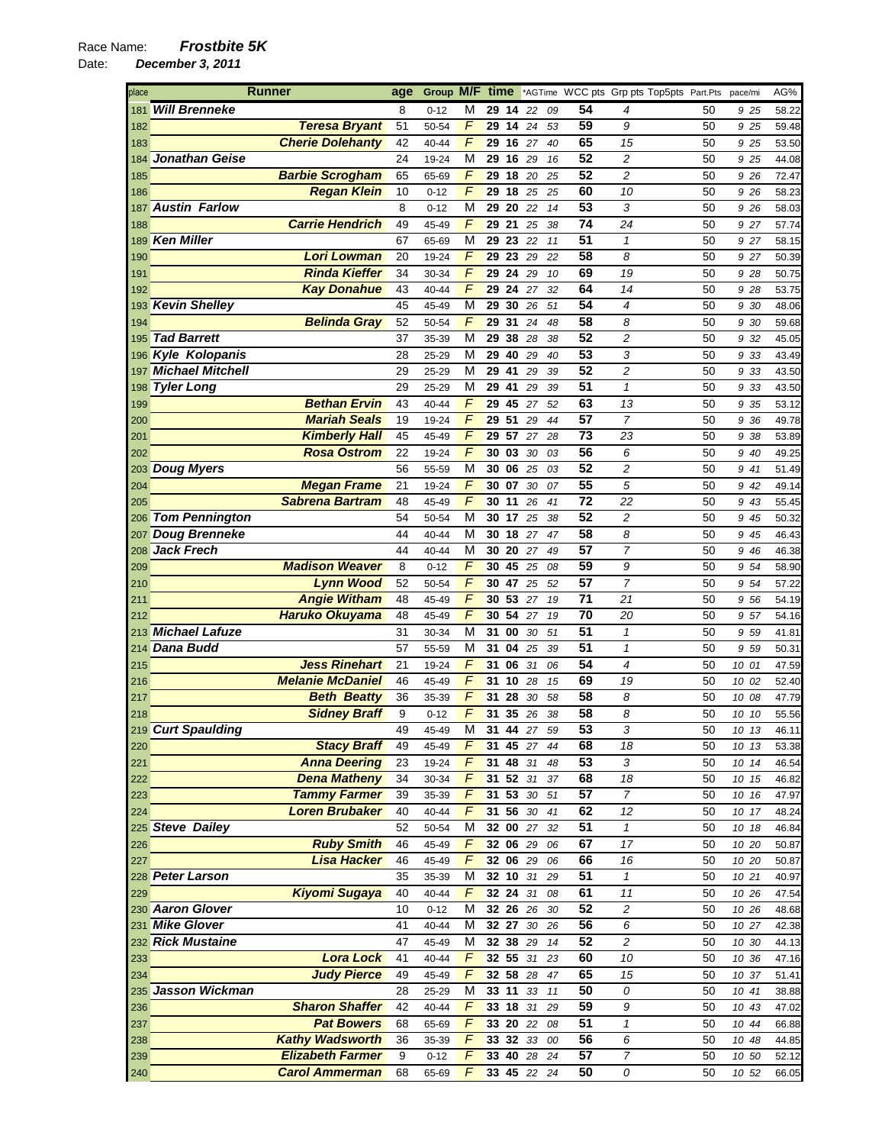## Race Name: *Frostbite 5K*

| place | <b>Runner</b>               |                         | age | Group M/F time |                |       |          |          |                 | *AGTime WCC pts Grp pts Top5pts Part.Pts |    | pace/mi | AG%   |
|-------|-----------------------------|-------------------------|-----|----------------|----------------|-------|----------|----------|-----------------|------------------------------------------|----|---------|-------|
| 181   | <b>Will Brenneke</b>        |                         | 8   | $0 - 12$       | М              | 29 14 |          | 22<br>09 | 54              | 4                                        | 50 | 925     | 58.22 |
| 182   |                             | <b>Teresa Bryant</b>    | 51  | 50-54          | F              | 29    | 1424     | 53       | 59              | 9                                        | 50 | 9 25    | 59.48 |
| 183   |                             | <b>Cherie Dolehanty</b> | 42  | 40-44          | F              | 29    | 16 27    | 40       | 65              | 15                                       | 50 | 9 25    | 53.50 |
| 184   | <b>Jonathan Geise</b>       |                         | 24  | 19-24          | M              | 29    | 16       | 29<br>16 | 52              | $\overline{c}$                           | 50 | 9 25    | 44.08 |
| 185   |                             | <b>Barbie Scrogham</b>  | 65  | 65-69          | F              | 29    | 18       | 20<br>25 | 52              | $\overline{c}$                           | 50 | 9 26    | 72.47 |
| 186   |                             | <b>Regan Klein</b>      | 10  | $0 - 12$       | F              | 29    | 18       | 25<br>25 | 60              | 10                                       | 50 | 9 26    | 58.23 |
| 187   | <b>Austin Farlow</b>        |                         | 8   | $0 - 12$       | М              | 29    | 20       | 22<br>14 | 53              | 3                                        | 50 | 9 26    | 58.03 |
|       |                             | <b>Carrie Hendrich</b>  | 49  |                | F              | 29    | 21       |          | 74              | 24                                       | 50 |         |       |
| 188   | <b>Ken Miller</b>           |                         |     | 45-49          |                |       |          | 25<br>38 | 51              |                                          |    | 9 27    | 57.74 |
| 189   |                             |                         | 67  | 65-69          | М              | 29    | 23 22    | 11       |                 | 1                                        | 50 | 927     | 58.15 |
| 190   |                             | Lori Lowman             | 20  | 19-24          | F              | 29    | 23       | 29<br>22 | 58              | 8                                        | 50 | 9 27    | 50.39 |
| 191   |                             | <b>Rinda Kieffer</b>    | 34  | 30-34          | F              | 29    | 24       | 29<br>10 | 69              | 19                                       | 50 | 9 28    | 50.75 |
| 192   |                             | <b>Kay Donahue</b>      | 43  | 40-44          | F              | 29    | 24       | 32<br>27 | 64              | 14                                       | 50 | 9 28    | 53.75 |
|       | 193 Kevin Shelley           |                         | 45  | 45-49          | M              | 29    | 30       | 26<br>51 | 54              | 4                                        | 50 | 9 30    | 48.06 |
| 194   |                             | <b>Belinda Gray</b>     | 52  | 50-54          | F              | 29    | 31       | 24<br>48 | 58              | 8                                        | 50 | 9 30    | 59.68 |
| 195   | <b>Tad Barrett</b>          |                         | 37  | 35-39          | M              | 29    | 38       | 28<br>38 | 52              | 2                                        | 50 | 9 32    | 45.05 |
|       | 196 Kyle Kolopanis          |                         | 28  | 25-29          | М              | 29    | 40       | 29<br>40 | 53              | 3                                        | 50 | 9 33    | 43.49 |
|       | 197 <b>Michael Mitchell</b> |                         | 29  | 25-29          | М              | 29    | 41       | 29<br>39 | 52              | 2                                        | 50 | 9 33    | 43.50 |
| 198   | <b>Tyler Long</b>           |                         | 29  | 25-29          | М              | 29    | 41       | 29<br>39 | 51              | $\mathbf{1}$                             | 50 | 9 33    | 43.50 |
| 199   |                             | <b>Bethan Ervin</b>     | 43  | 40-44          | F              | 29    | 45       | 27<br>52 | 63              | 13                                       | 50 | 9 35    | 53.12 |
| 200   |                             | <b>Mariah Seals</b>     | 19  | 19-24          | F              | 29    | 51       | 29<br>44 | $\overline{57}$ | $\overline{7}$                           | 50 | 9 36    | 49.78 |
| 201   |                             | <b>Kimberly Hall</b>    | 45  | 45-49          | F              | 29    | 57       | 27<br>28 | 73              | 23                                       | 50 | 9 38    | 53.89 |
| 202   |                             | <b>Rosa Ostrom</b>      | 22  | 19-24          | $\overline{F}$ | 30    | 03       | 30<br>03 | 56              | 6                                        | 50 | 9 40    | 49.25 |
| 203   | <b>Doug Myers</b>           |                         | 56  | 55-59          | M              | 30 06 |          | 25<br>03 | 52              | 2                                        | 50 | 9 41    | 51.49 |
|       |                             | <b>Megan Frame</b>      | 21  |                | F              | 30 07 |          | 07       | 55              | 5                                        | 50 |         |       |
| 204   |                             | <b>Sabrena Bartram</b>  |     | 19-24          | F              |       |          | 30       |                 |                                          |    | 9 42    | 49.14 |
| 205   |                             |                         | 48  | 45-49          |                | 30    | 11       | 26<br>41 | 72              | 22                                       | 50 | 9 43    | 55.45 |
| 206   | <b>Tom Pennington</b>       |                         | 54  | 50-54          | М              | 30 17 |          | 25<br>38 | 52              | 2                                        | 50 | 9 45    | 50.32 |
| 207   | <b>Doug Brenneke</b>        |                         | 44  | 40-44          | М              | 30    | 18       | 27<br>47 | 58              | 8                                        | 50 | 9 45    | 46.43 |
| 208   | <b>Jack Frech</b>           |                         | 44  | 40-44          | М              | 30    | 20       | 27<br>49 | $\overline{57}$ | $\overline{7}$                           | 50 | 9 46    | 46.38 |
| 209   |                             | <b>Madison Weaver</b>   | 8   | $0 - 12$       | F              | 30    | 45       | 25<br>08 | 59              | 9                                        | 50 | 9 54    | 58.90 |
| 210   |                             | <b>Lynn Wood</b>        | 52  | 50-54          | F              |       | 30 47 25 | 52       | 57              | $\overline{7}$                           | 50 | 9 54    | 57.22 |
| 211   |                             | <b>Angie Witham</b>     | 48  | 45-49          | F              | 30    | 53       | 27<br>19 | 71              | 21                                       | 50 | 9 56    | 54.19 |
| 212   |                             | Haruko Okuyama          | 48  | 45-49          | F              | 30    | 54       | 27<br>19 | 70              | 20                                       | 50 | 957     | 54.16 |
|       | 213 Michael Lafuze          |                         | 31  | 30-34          | М              | 31    | 00       | 30<br>51 | 51              | 1                                        | 50 | 9 59    | 41.81 |
|       | 214 Dana Budd               |                         | 57  | 55-59          | М              | 31    | 04       | 25<br>39 | $\overline{51}$ | 1                                        | 50 | 959     | 50.31 |
| 215   |                             | <b>Jess Rinehart</b>    | 21  | 19-24          | F              | 31    | 06       | 31<br>06 | 54              | $\overline{\mathcal{A}}$                 | 50 | 10 01   | 47.59 |
| 216   |                             | <b>Melanie McDaniel</b> | 46  | 45-49          | F              | 31    | 10       | 28<br>15 | 69              | 19                                       | 50 | 10 02   | 52.40 |
| 217   |                             | <b>Beth Beatty</b>      | 36  | 35-39          | F              | 31    | 28       | 30<br>58 | 58              | 8                                        | 50 | 10 08   | 47.79 |
| 218   |                             | <b>Sidney Braff</b>     | 9   | $0 - 12$       | F              | 31    | 35       | 26<br>38 | 58              | 8                                        | 50 | 10 10   | 55.56 |
|       | 219 Curt Spaulding          |                         | 49  | 45-49          | М              | 31    | 44       | 27<br>59 | 53              | 3                                        | 50 | 10 13   | 46.11 |
| 220   |                             | <b>Stacy Braff</b>      | 49  | 45-49          | F              |       | 31 45 27 | 44       | 68              | 18                                       | 50 | 10 13   | 53.38 |
| 221   |                             | <b>Anna Deering</b>     | 23  | 19-24          | F              |       | 31 48    | 31<br>48 | 53              | 3                                        | 50 | 10 14   | 46.54 |
| 222   |                             | <b>Dena Matheny</b>     | 34  | 30-34          | F              |       | 31 52 31 | 37       | 68              | 18                                       | 50 | 10 15   | 46.82 |
| 223   |                             | <b>Tammy Farmer</b>     | 39  | 35-39          | F              |       | 31 53 30 | 51       | 57              | $\overline{7}$                           | 50 | 10 16   | 47.97 |
| 224   |                             | <b>Loren Brubaker</b>   | 40  | 40-44          | F              |       | 31 56 30 |          | 62              | 12                                       | 50 |         |       |
|       |                             |                         | 52  |                | M              |       |          | 41       | 51              | $\mathbf{1}$                             |    | 10 17   | 48.24 |
|       | 225 Steve Dailey            | <b>Ruby Smith</b>       |     | 50-54          |                | 32 00 |          | 27<br>32 |                 |                                          | 50 | 10 18   | 46.84 |
| 226   |                             |                         | 46  | 45-49          | $\overline{F}$ | 32 06 |          | 29<br>06 | 67              | 17                                       | 50 | 10 20   | 50.87 |
| 227   |                             | <b>Lisa Hacker</b>      | 46  | 45-49          | F              |       | 32 06 29 | 06       | 66              | 16                                       | 50 | 10 20   | 50.87 |
|       | 228 Peter Larson            |                         | 35  | 35-39          | M              | 32 10 |          | 31<br>29 | 51              | $\mathbf{1}$                             | 50 | 10 21   | 40.97 |
| 229   |                             | <b>Kiyomi Sugaya</b>    | 40  | $40 - 44$      | F              |       | 32 24 31 | 08       | 61              | 11                                       | 50 | 10 26   | 47.54 |
|       | 230 Aaron Glover            |                         | 10  | $0 - 12$       | М              |       | 32 26 26 | 30       | 52              | $\overline{\mathbf{c}}$                  | 50 | 10 26   | 48.68 |
|       | 231 Mike Glover             |                         | 41  | 40-44          | М              |       | 32 27 30 | 26       | 56              | 6                                        | 50 | 10 27   | 42.38 |
|       | 232 Rick Mustaine           |                         | 47  | 45-49          | M              |       | 32 38 29 | 14       | 52              | $\overline{c}$                           | 50 | 10 30   | 44.13 |
| 233   |                             | <b>Lora Lock</b>        | 41  | 40-44          | F              |       | 32 55 31 | 23       | 60              | 10                                       | 50 | 10 36   | 47.16 |
| 234   |                             | <b>Judy Pierce</b>      | 49  | 45-49          | F              | 32 58 |          | 28<br>47 | 65              | 15                                       | 50 | 10 37   | 51.41 |
|       | 235 Jasson Wickman          |                         | 28  | 25-29          | м              |       | 33 11    | 33<br>11 | 50              | 0                                        | 50 | 10 41   | 38.88 |
| 236   |                             | <b>Sharon Shaffer</b>   | 42  | 40-44          | F              | 33 18 |          | 31<br>29 | 59              | 9                                        | 50 | 10 43   | 47.02 |
| 237   |                             | <b>Pat Bowers</b>       | 68  | 65-69          | F              |       | 33 20 22 | 08       | 51              | 1                                        | 50 | 10 44   | 66.88 |
| 238   |                             | <b>Kathy Wadsworth</b>  | 36  | 35-39          | F              | 33 32 |          | 33<br>00 | 56              | 6                                        | 50 | 10 48   | 44.85 |
| 239   |                             | <b>Elizabeth Farmer</b> | 9   | $0 - 12$       | F              |       | 33 40 28 | 24       | 57              | $\boldsymbol{7}$                         | 50 | 10 50   | 52.12 |
| 240   |                             | <b>Carol Ammerman</b>   | 68  | 65-69          | F              |       | 33 45 22 | 24       | 50              | 0                                        | 50 | 10 52   | 66.05 |